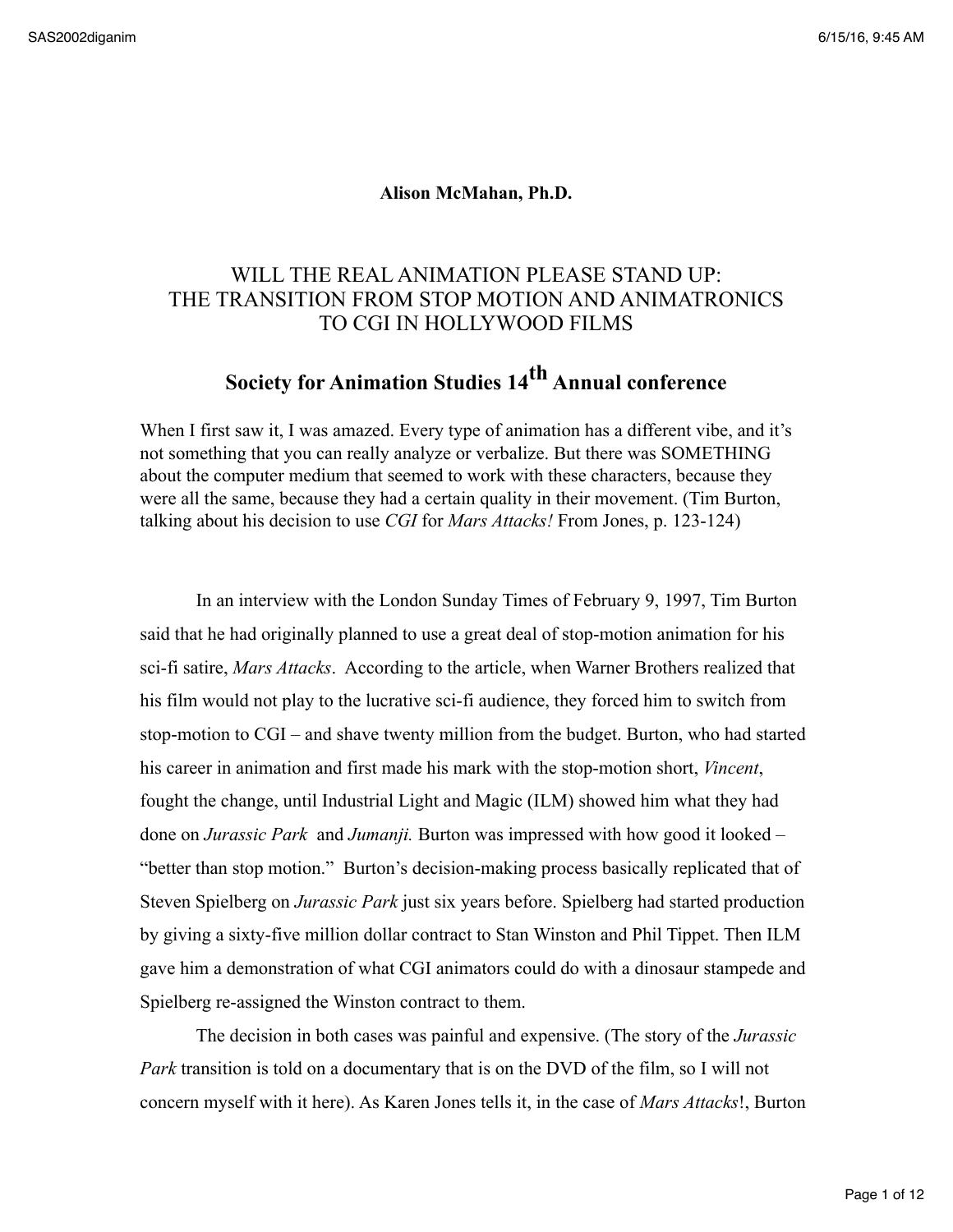## **Alison McMahan, Ph.D.**

## WILL THE REAL ANIMATION PLEASE STAND UP: THE TRANSITION FROM STOP MOTION AND ANIMATRONICS TO CGI IN HOLLYWOOD FILMS

## **Society for Animation Studies 14th Annual conference**

When I first saw it, I was amazed. Every type of animation has a different vibe, and it's not something that you can really analyze or verbalize. But there was SOMETHING about the computer medium that seemed to work with these characters, because they were all the same, because they had a certain quality in their movement. (Tim Burton, talking about his decision to use *CGI* for *Mars Attacks!* From Jones, p. 123-124)

In an interview with the London Sunday Times of February 9, 1997, Tim Burton said that he had originally planned to use a great deal of stop-motion animation for his sci-fi satire, *Mars Attacks*. According to the article, when Warner Brothers realized that his film would not play to the lucrative sci-fi audience, they forced him to switch from stop-motion to CGI – and shave twenty million from the budget. Burton, who had started his career in animation and first made his mark with the stop-motion short, *Vincent*, fought the change, until Industrial Light and Magic (ILM) showed him what they had done on *Jurassic Park* and *Jumanji.* Burton was impressed with how good it looked – "better than stop motion." Burton's decision-making process basically replicated that of Steven Spielberg on *Jurassic Park* just six years before. Spielberg had started production by giving a sixty-five million dollar contract to Stan Winston and Phil Tippet. Then ILM gave him a demonstration of what CGI animators could do with a dinosaur stampede and Spielberg re-assigned the Winston contract to them.

The decision in both cases was painful and expensive. (The story of the *Jurassic Park* transition is told on a documentary that is on the DVD of the film, so I will not concern myself with it here). As Karen Jones tells it, in the case of *Mars Attacks*!, Burton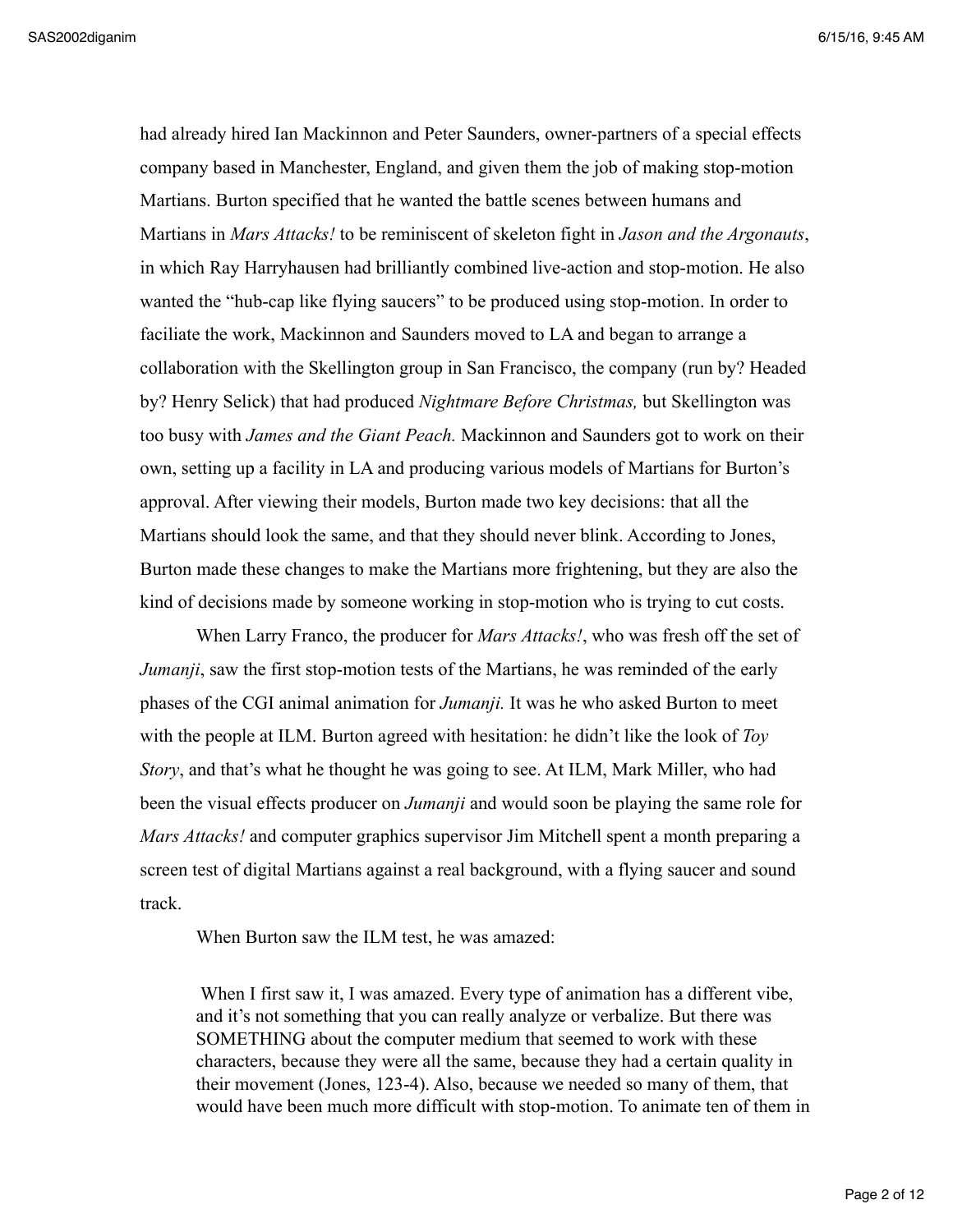had already hired Ian Mackinnon and Peter Saunders, owner-partners of a special effects company based in Manchester, England, and given them the job of making stop-motion Martians. Burton specified that he wanted the battle scenes between humans and Martians in *Mars Attacks!* to be reminiscent of skeleton fight in *Jason and the Argonauts*, in which Ray Harryhausen had brilliantly combined live-action and stop-motion. He also wanted the "hub-cap like flying saucers" to be produced using stop-motion. In order to faciliate the work, Mackinnon and Saunders moved to LA and began to arrange a collaboration with the Skellington group in San Francisco, the company (run by? Headed by? Henry Selick) that had produced *Nightmare Before Christmas,* but Skellington was too busy with *James and the Giant Peach.* Mackinnon and Saunders got to work on their own, setting up a facility in LA and producing various models of Martians for Burton's approval. After viewing their models, Burton made two key decisions: that all the Martians should look the same, and that they should never blink. According to Jones, Burton made these changes to make the Martians more frightening, but they are also the kind of decisions made by someone working in stop-motion who is trying to cut costs.

When Larry Franco, the producer for *Mars Attacks!*, who was fresh off the set of *Jumanji*, saw the first stop-motion tests of the Martians, he was reminded of the early phases of the CGI animal animation for *Jumanji.* It was he who asked Burton to meet with the people at ILM. Burton agreed with hesitation: he didn't like the look of *Toy Story*, and that's what he thought he was going to see. At ILM, Mark Miller, who had been the visual effects producer on *Jumanji* and would soon be playing the same role for *Mars Attacks!* and computer graphics supervisor Jim Mitchell spent a month preparing a screen test of digital Martians against a real background, with a flying saucer and sound track.

When Burton saw the ILM test, he was amazed:

When I first saw it, I was amazed. Every type of animation has a different vibe, and it's not something that you can really analyze or verbalize. But there was SOMETHING about the computer medium that seemed to work with these characters, because they were all the same, because they had a certain quality in their movement (Jones, 123-4). Also, because we needed so many of them, that would have been much more difficult with stop-motion. To animate ten of them in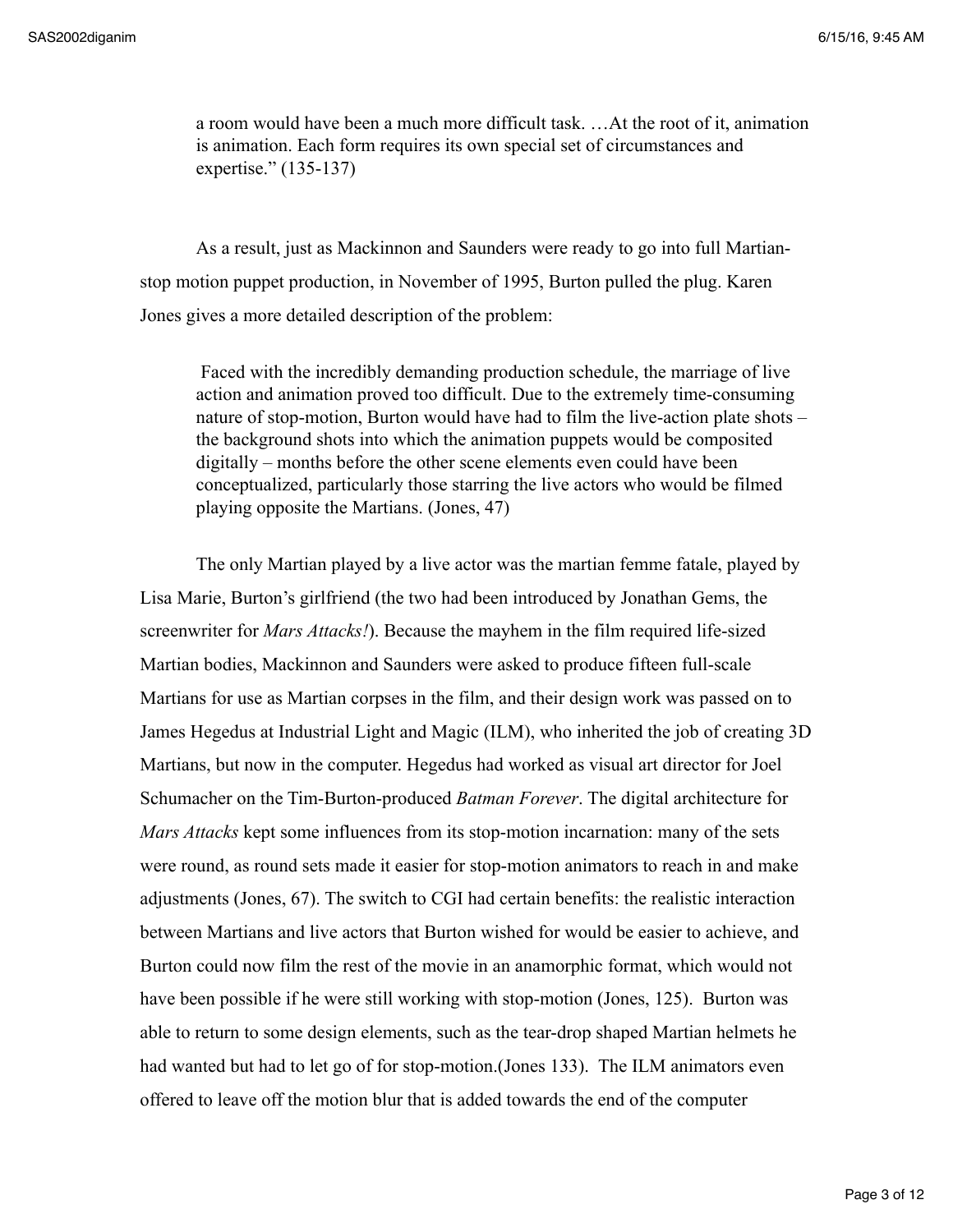a room would have been a much more difficult task. …At the root of it, animation is animation. Each form requires its own special set of circumstances and expertise." (135-137)

As a result, just as Mackinnon and Saunders were ready to go into full Martianstop motion puppet production, in November of 1995, Burton pulled the plug. Karen Jones gives a more detailed description of the problem:

 Faced with the incredibly demanding production schedule, the marriage of live action and animation proved too difficult. Due to the extremely time-consuming nature of stop-motion, Burton would have had to film the live-action plate shots – the background shots into which the animation puppets would be composited digitally – months before the other scene elements even could have been conceptualized, particularly those starring the live actors who would be filmed playing opposite the Martians. (Jones, 47)

The only Martian played by a live actor was the martian femme fatale, played by Lisa Marie, Burton's girlfriend (the two had been introduced by Jonathan Gems, the screenwriter for *Mars Attacks!*). Because the mayhem in the film required life-sized Martian bodies, Mackinnon and Saunders were asked to produce fifteen full-scale Martians for use as Martian corpses in the film, and their design work was passed on to James Hegedus at Industrial Light and Magic (ILM), who inherited the job of creating 3D Martians, but now in the computer. Hegedus had worked as visual art director for Joel Schumacher on the Tim-Burton-produced *Batman Forever*. The digital architecture for *Mars Attacks* kept some influences from its stop-motion incarnation: many of the sets were round, as round sets made it easier for stop-motion animators to reach in and make adjustments (Jones, 67). The switch to CGI had certain benefits: the realistic interaction between Martians and live actors that Burton wished for would be easier to achieve, and Burton could now film the rest of the movie in an anamorphic format, which would not have been possible if he were still working with stop-motion (Jones, 125). Burton was able to return to some design elements, such as the tear-drop shaped Martian helmets he had wanted but had to let go of for stop-motion.(Jones 133). The ILM animators even offered to leave off the motion blur that is added towards the end of the computer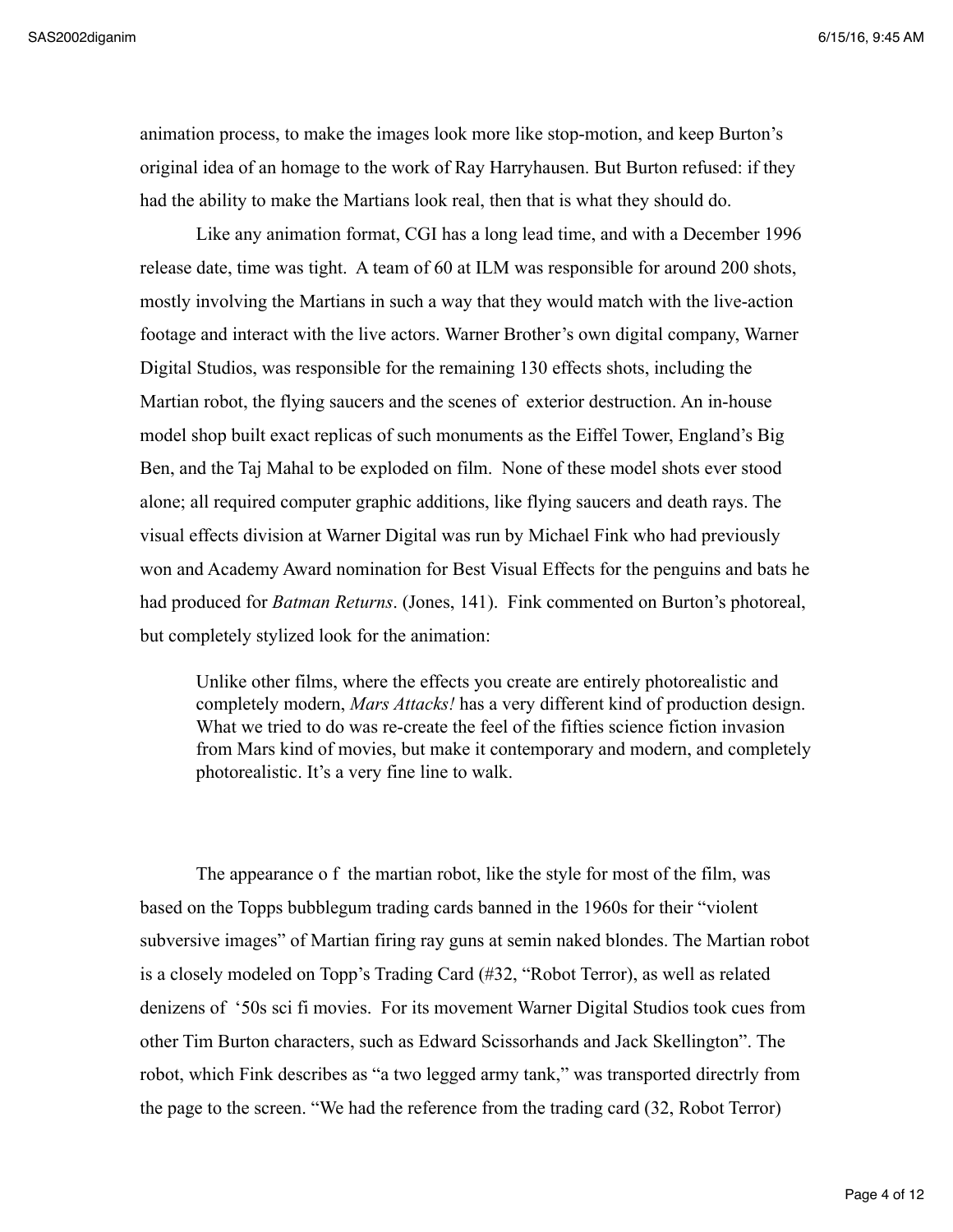animation process, to make the images look more like stop-motion, and keep Burton's original idea of an homage to the work of Ray Harryhausen. But Burton refused: if they had the ability to make the Martians look real, then that is what they should do.

Like any animation format, CGI has a long lead time, and with a December 1996 release date, time was tight. A team of 60 at ILM was responsible for around 200 shots, mostly involving the Martians in such a way that they would match with the live-action footage and interact with the live actors. Warner Brother's own digital company, Warner Digital Studios, was responsible for the remaining 130 effects shots, including the Martian robot, the flying saucers and the scenes of exterior destruction. An in-house model shop built exact replicas of such monuments as the Eiffel Tower, England's Big Ben, and the Taj Mahal to be exploded on film. None of these model shots ever stood alone; all required computer graphic additions, like flying saucers and death rays. The visual effects division at Warner Digital was run by Michael Fink who had previously won and Academy Award nomination for Best Visual Effects for the penguins and bats he had produced for *Batman Returns*. (Jones, 141). Fink commented on Burton's photoreal, but completely stylized look for the animation:

Unlike other films, where the effects you create are entirely photorealistic and completely modern, *Mars Attacks!* has a very different kind of production design. What we tried to do was re-create the feel of the fifties science fiction invasion from Mars kind of movies, but make it contemporary and modern, and completely photorealistic. It's a very fine line to walk.

The appearance o f the martian robot, like the style for most of the film, was based on the Topps bubblegum trading cards banned in the 1960s for their "violent subversive images" of Martian firing ray guns at semin naked blondes. The Martian robot is a closely modeled on Topp's Trading Card (#32, "Robot Terror), as well as related denizens of '50s sci fi movies. For its movement Warner Digital Studios took cues from other Tim Burton characters, such as Edward Scissorhands and Jack Skellington". The robot, which Fink describes as "a two legged army tank," was transported directrly from the page to the screen. "We had the reference from the trading card (32, Robot Terror)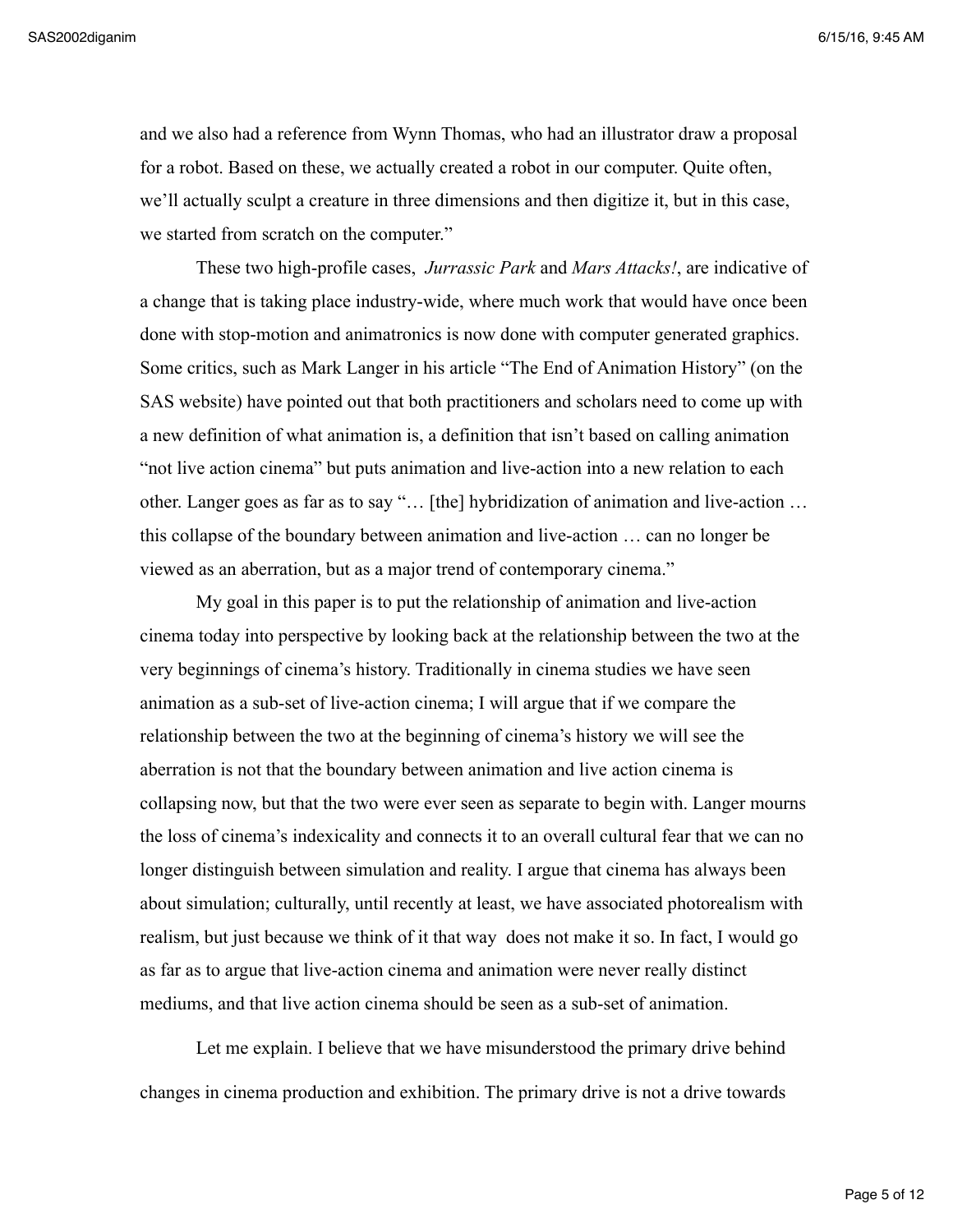and we also had a reference from Wynn Thomas, who had an illustrator draw a proposal for a robot. Based on these, we actually created a robot in our computer. Quite often, we'll actually sculpt a creature in three dimensions and then digitize it, but in this case, we started from scratch on the computer."

These two high-profile cases, *Jurrassic Park* and *Mars Attacks!*, are indicative of a change that is taking place industry-wide, where much work that would have once been done with stop-motion and animatronics is now done with computer generated graphics. Some critics, such as Mark Langer in his article "The End of Animation History" (on the SAS website) have pointed out that both practitioners and scholars need to come up with a new definition of what animation is, a definition that isn't based on calling animation "not live action cinema" but puts animation and live-action into a new relation to each other. Langer goes as far as to say "… [the] hybridization of animation and live-action … this collapse of the boundary between animation and live-action … can no longer be viewed as an aberration, but as a major trend of contemporary cinema."

My goal in this paper is to put the relationship of animation and live-action cinema today into perspective by looking back at the relationship between the two at the very beginnings of cinema's history. Traditionally in cinema studies we have seen animation as a sub-set of live-action cinema; I will argue that if we compare the relationship between the two at the beginning of cinema's history we will see the aberration is not that the boundary between animation and live action cinema is collapsing now, but that the two were ever seen as separate to begin with. Langer mourns the loss of cinema's indexicality and connects it to an overall cultural fear that we can no longer distinguish between simulation and reality. I argue that cinema has always been about simulation; culturally, until recently at least, we have associated photorealism with realism, but just because we think of it that way does not make it so. In fact, I would go as far as to argue that live-action cinema and animation were never really distinct mediums, and that live action cinema should be seen as a sub-set of animation.

Let me explain. I believe that we have misunderstood the primary drive behind changes in cinema production and exhibition. The primary drive is not a drive towards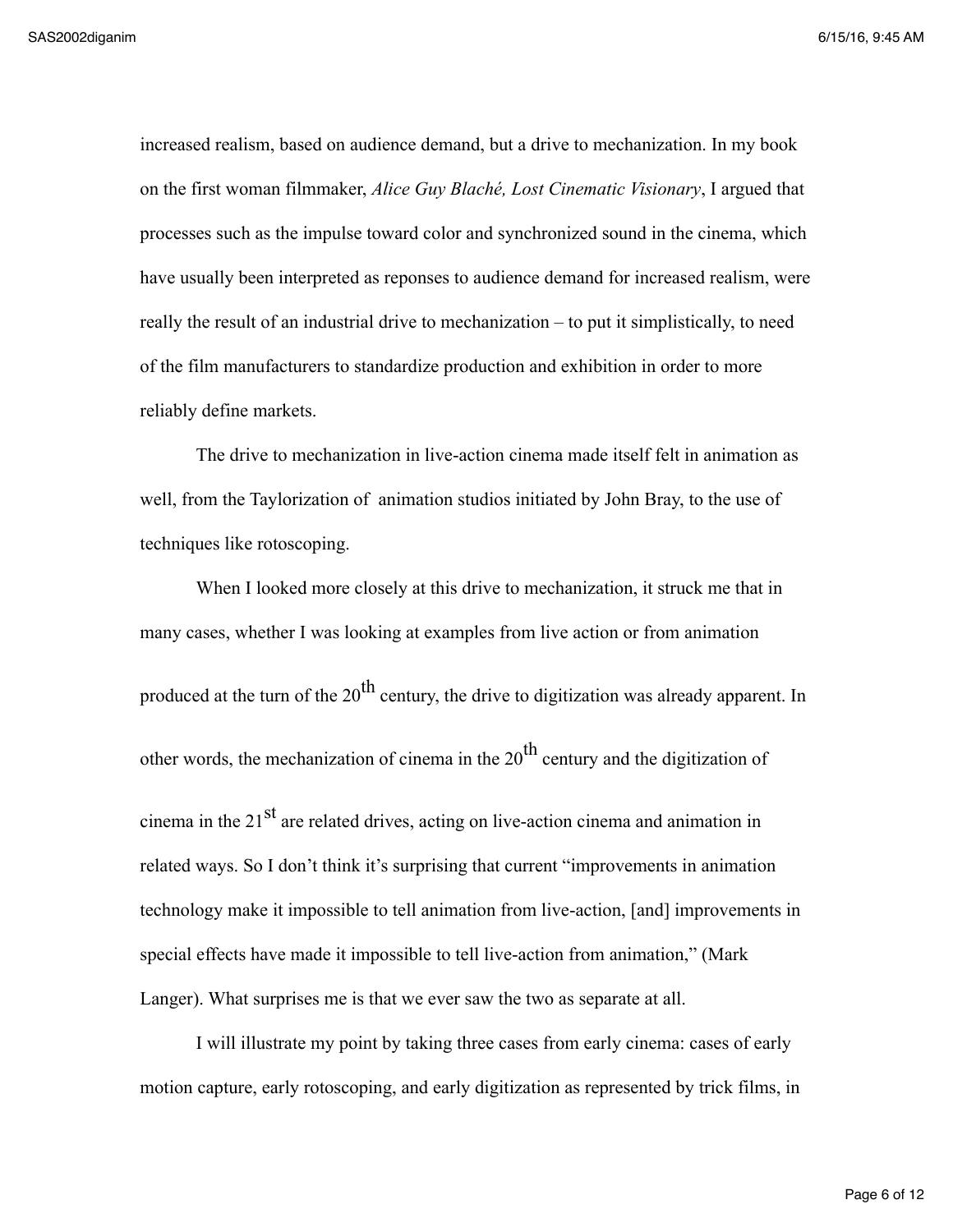increased realism, based on audience demand, but a drive to mechanization. In my book on the first woman filmmaker, *Alice Guy Blaché, Lost Cinematic Visionary*, I argued that processes such as the impulse toward color and synchronized sound in the cinema, which have usually been interpreted as reponses to audience demand for increased realism, were really the result of an industrial drive to mechanization – to put it simplistically, to need of the film manufacturers to standardize production and exhibition in order to more reliably define markets.

The drive to mechanization in live-action cinema made itself felt in animation as well, from the Taylorization of animation studios initiated by John Bray, to the use of techniques like rotoscoping.

When I looked more closely at this drive to mechanization, it struck me that in many cases, whether I was looking at examples from live action or from animation produced at the turn of the  $20<sup>th</sup>$  century, the drive to digitization was already apparent. In other words, the mechanization of cinema in the  $20<sup>th</sup>$  century and the digitization of cinema in the  $21<sup>st</sup>$  are related drives, acting on live-action cinema and animation in related ways. So I don't think it's surprising that current "improvements in animation technology make it impossible to tell animation from live-action, [and] improvements in special effects have made it impossible to tell live-action from animation," (Mark Langer). What surprises me is that we ever saw the two as separate at all.

I will illustrate my point by taking three cases from early cinema: cases of early motion capture, early rotoscoping, and early digitization as represented by trick films, in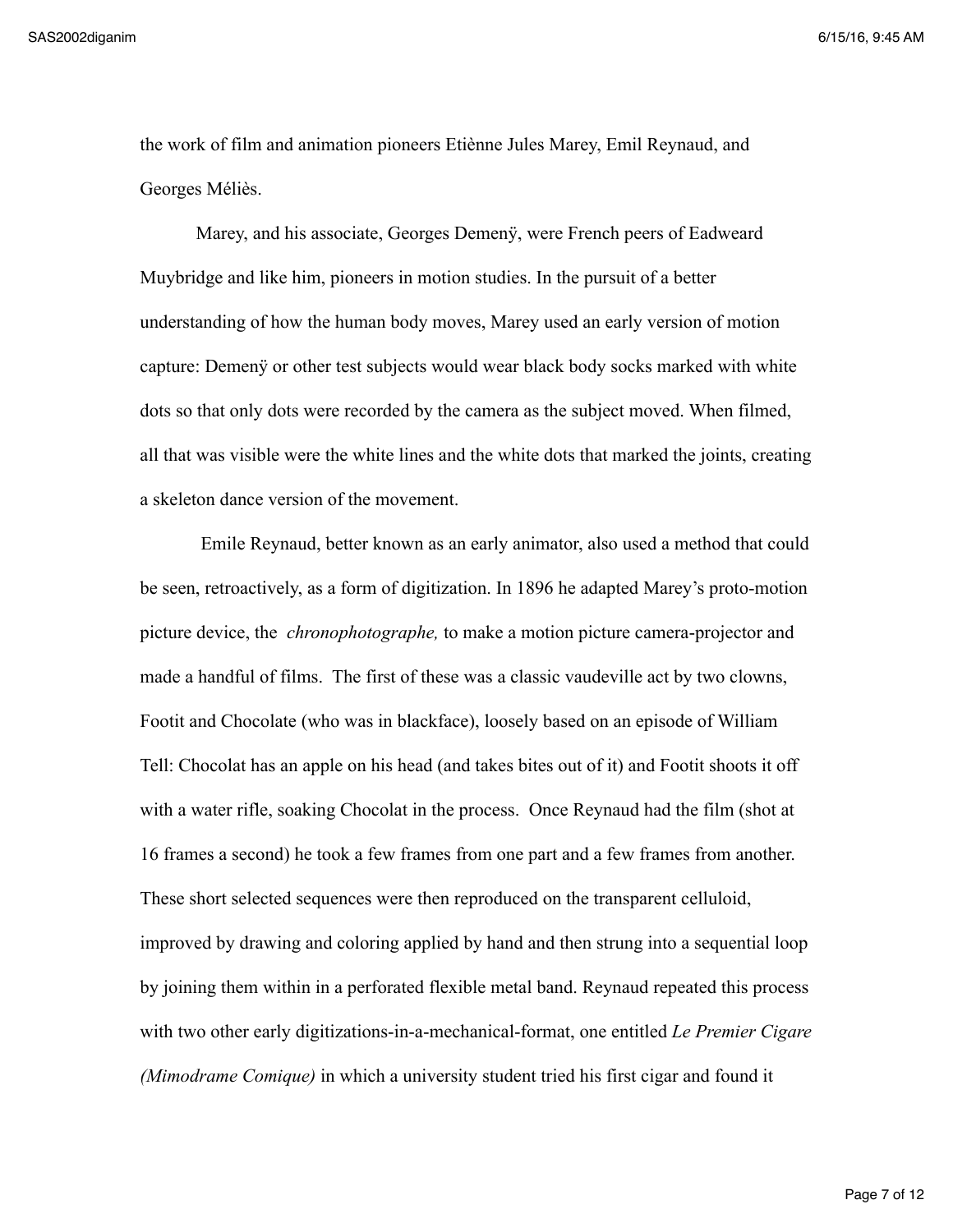the work of film and animation pioneers Etiènne Jules Marey, Emil Reynaud, and Georges Méliès.

Marey, and his associate, Georges Demenÿ, were French peers of Eadweard Muybridge and like him, pioneers in motion studies. In the pursuit of a better understanding of how the human body moves, Marey used an early version of motion capture: Demenÿ or other test subjects would wear black body socks marked with white dots so that only dots were recorded by the camera as the subject moved. When filmed, all that was visible were the white lines and the white dots that marked the joints, creating a skeleton dance version of the movement.

 Emile Reynaud, better known as an early animator, also used a method that could be seen, retroactively, as a form of digitization. In 1896 he adapted Marey's proto-motion picture device, the *chronophotographe,* to make a motion picture camera-projector and made a handful of films. The first of these was a classic vaudeville act by two clowns, Footit and Chocolate (who was in blackface), loosely based on an episode of William Tell: Chocolat has an apple on his head (and takes bites out of it) and Footit shoots it off with a water rifle, soaking Chocolat in the process. Once Reynaud had the film (shot at 16 frames a second) he took a few frames from one part and a few frames from another. These short selected sequences were then reproduced on the transparent celluloid, improved by drawing and coloring applied by hand and then strung into a sequential loop by joining them within in a perforated flexible metal band. Reynaud repeated this process with two other early digitizations-in-a-mechanical-format, one entitled *Le Premier Cigare (Mimodrame Comique)* in which a university student tried his first cigar and found it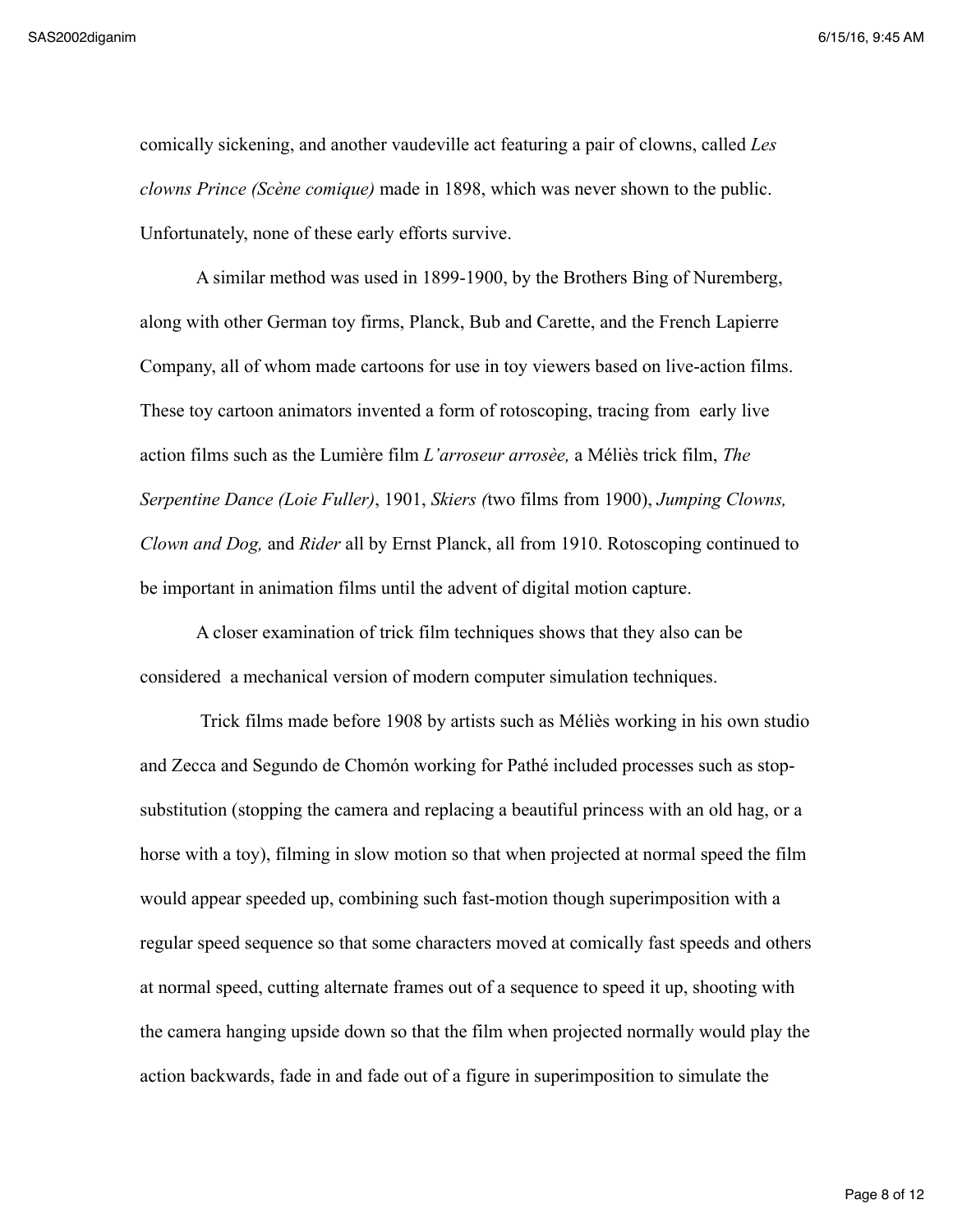comically sickening, and another vaudeville act featuring a pair of clowns, called *Les clowns Prince (Scène comique)* made in 1898, which was never shown to the public. Unfortunately, none of these early efforts survive.

A similar method was used in 1899-1900, by the Brothers Bing of Nuremberg, along with other German toy firms, Planck, Bub and Carette, and the French Lapierre Company, all of whom made cartoons for use in toy viewers based on live-action films. These toy cartoon animators invented a form of rotoscoping, tracing from early live action films such as the Lumière film *L'arroseur arrosèe,* a Méliès trick film, *The Serpentine Dance (Loie Fuller)*, 1901, *Skiers (*two films from 1900), *Jumping Clowns, Clown and Dog,* and *Rider* all by Ernst Planck, all from 1910. Rotoscoping continued to be important in animation films until the advent of digital motion capture.

A closer examination of trick film techniques shows that they also can be considered a mechanical version of modern computer simulation techniques.

 Trick films made before 1908 by artists such as Méliès working in his own studio and Zecca and Segundo de Chomón working for Pathé included processes such as stopsubstitution (stopping the camera and replacing a beautiful princess with an old hag, or a horse with a toy), filming in slow motion so that when projected at normal speed the film would appear speeded up, combining such fast-motion though superimposition with a regular speed sequence so that some characters moved at comically fast speeds and others at normal speed, cutting alternate frames out of a sequence to speed it up, shooting with the camera hanging upside down so that the film when projected normally would play the action backwards, fade in and fade out of a figure in superimposition to simulate the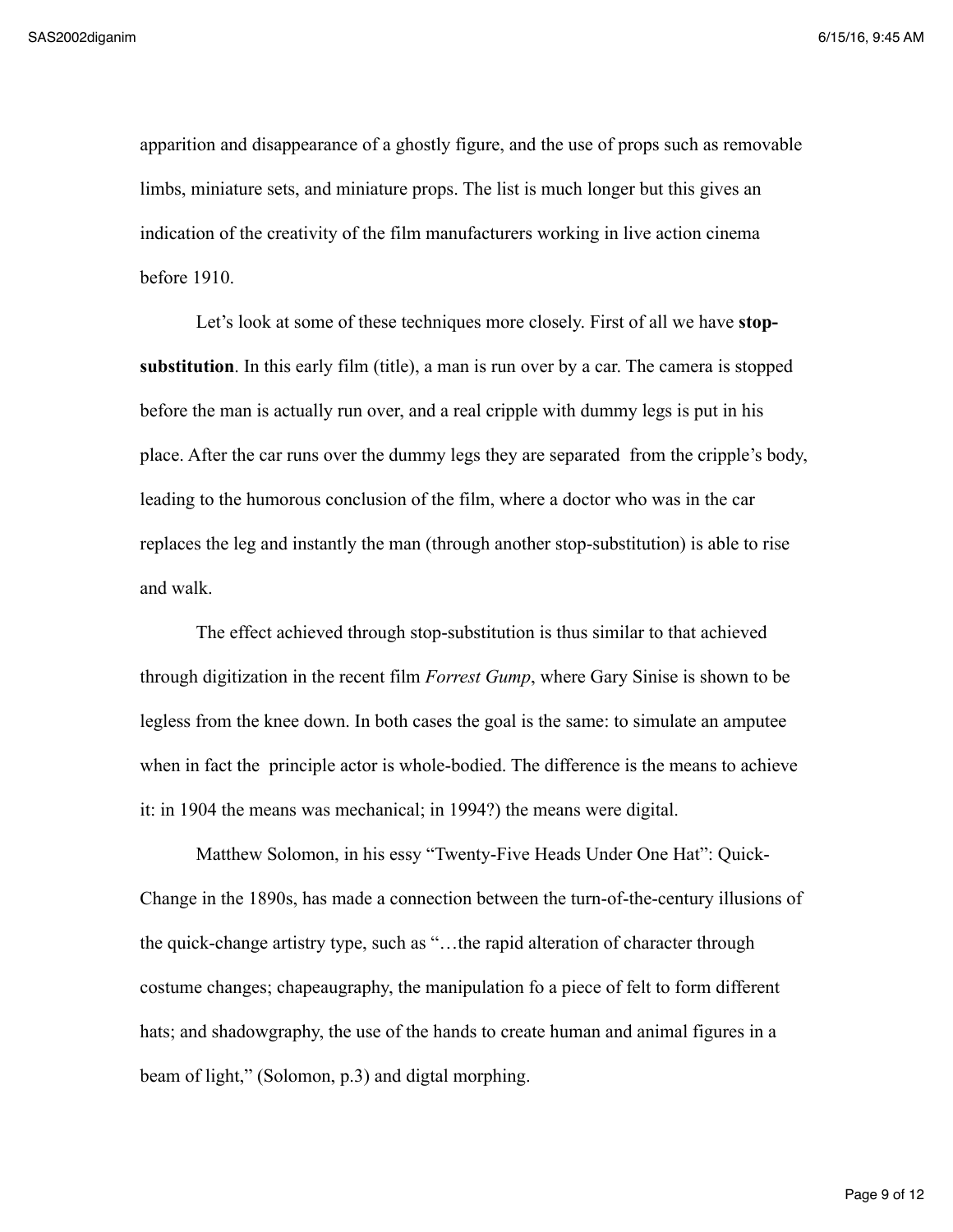apparition and disappearance of a ghostly figure, and the use of props such as removable limbs, miniature sets, and miniature props. The list is much longer but this gives an indication of the creativity of the film manufacturers working in live action cinema before 1910.

Let's look at some of these techniques more closely. First of all we have **stopsubstitution**. In this early film (title), a man is run over by a car. The camera is stopped before the man is actually run over, and a real cripple with dummy legs is put in his place. After the car runs over the dummy legs they are separated from the cripple's body, leading to the humorous conclusion of the film, where a doctor who was in the car replaces the leg and instantly the man (through another stop-substitution) is able to rise and walk.

The effect achieved through stop-substitution is thus similar to that achieved through digitization in the recent film *Forrest Gump*, where Gary Sinise is shown to be legless from the knee down. In both cases the goal is the same: to simulate an amputee when in fact the principle actor is whole-bodied. The difference is the means to achieve it: in 1904 the means was mechanical; in 1994?) the means were digital.

Matthew Solomon, in his essy "Twenty-Five Heads Under One Hat": Quick-Change in the 1890s, has made a connection between the turn-of-the-century illusions of the quick-change artistry type, such as "…the rapid alteration of character through costume changes; chapeaugraphy, the manipulation fo a piece of felt to form different hats; and shadowgraphy, the use of the hands to create human and animal figures in a beam of light," (Solomon, p.3) and digtal morphing.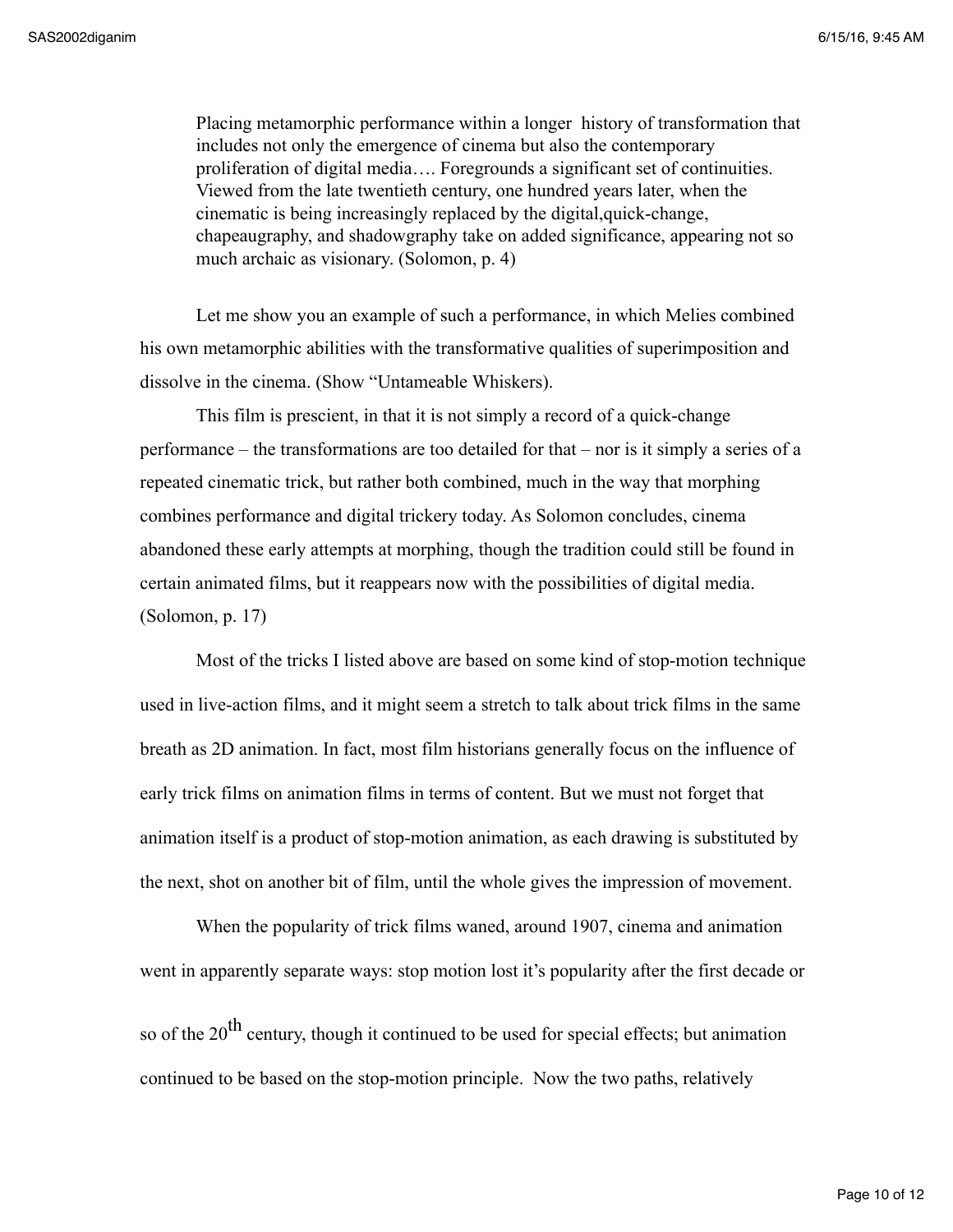Placing metamorphic performance within a longer history of transformation that includes not only the emergence of cinema but also the contemporary proliferation of digital media…. Foregrounds a significant set of continuities. Viewed from the late twentieth century, one hundred years later, when the cinematic is being increasingly replaced by the digital,quick-change, chapeaugraphy, and shadowgraphy take on added significance, appearing not so much archaic as visionary. (Solomon, p. 4)

Let me show you an example of such a performance, in which Melies combined his own metamorphic abilities with the transformative qualities of superimposition and dissolve in the cinema. (Show "Untameable Whiskers).

This film is prescient, in that it is not simply a record of a quick-change performance – the transformations are too detailed for that – nor is it simply a series of a repeated cinematic trick, but rather both combined, much in the way that morphing combines performance and digital trickery today. As Solomon concludes, cinema abandoned these early attempts at morphing, though the tradition could still be found in certain animated films, but it reappears now with the possibilities of digital media. (Solomon, p. 17)

Most of the tricks I listed above are based on some kind of stop-motion technique used in live-action films, and it might seem a stretch to talk about trick films in the same breath as 2D animation. In fact, most film historians generally focus on the influence of early trick films on animation films in terms of content. But we must not forget that animation itself is a product of stop-motion animation, as each drawing is substituted by the next, shot on another bit of film, until the whole gives the impression of movement.

When the popularity of trick films waned, around 1907, cinema and animation went in apparently separate ways: stop motion lost it's popularity after the first decade or

so of the  $20<sup>th</sup>$  century, though it continued to be used for special effects; but animation continued to be based on the stop-motion principle. Now the two paths, relatively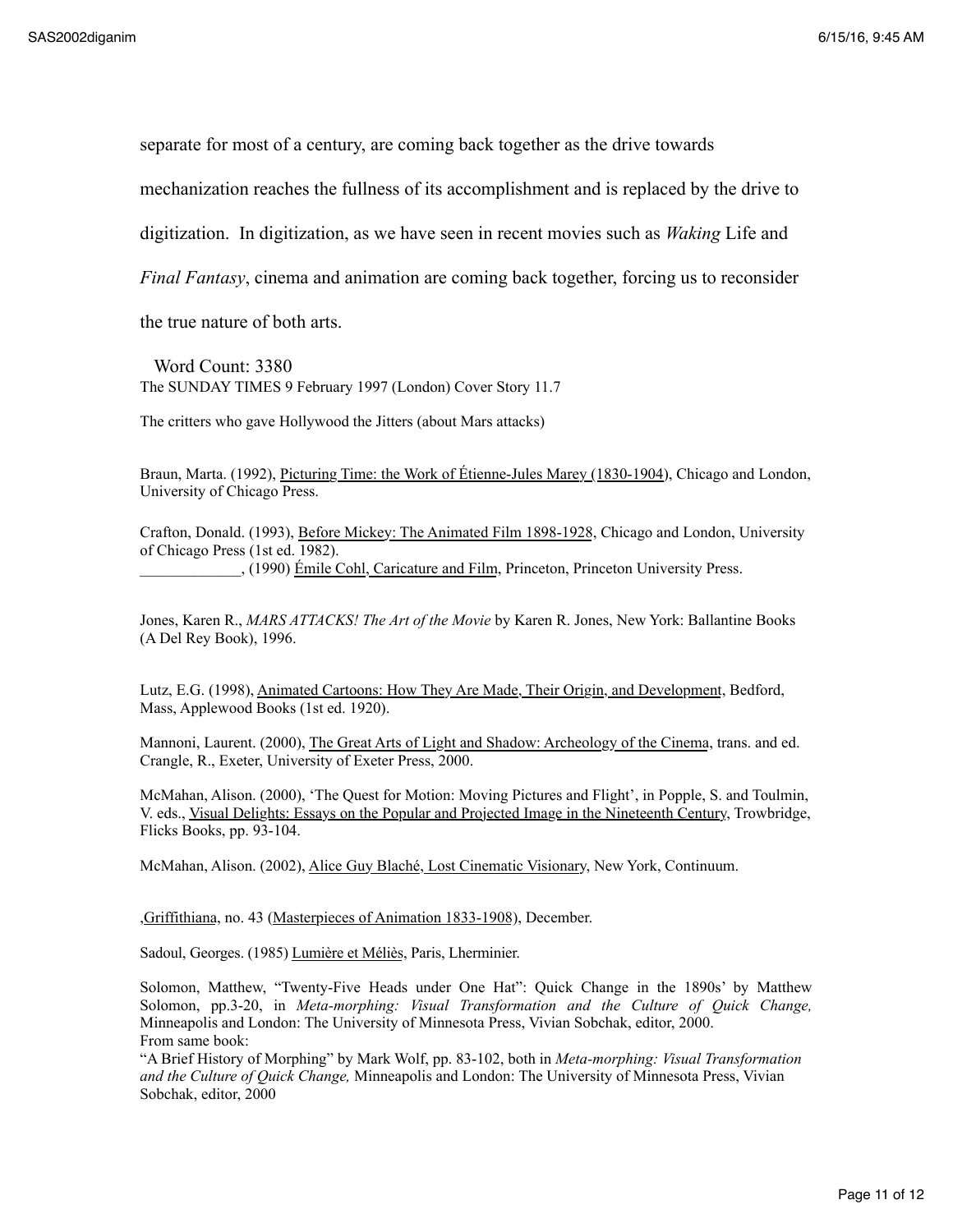separate for most of a century, are coming back together as the drive towards

mechanization reaches the fullness of its accomplishment and is replaced by the drive to

digitization. In digitization, as we have seen in recent movies such as *Waking* Life and

*Final Fantasy*, cinema and animation are coming back together, forcing us to reconsider

the true nature of both arts.

 Word Count: 3380 The SUNDAY TIMES 9 February 1997 (London) Cover Story 11.7

The critters who gave Hollywood the Jitters (about Mars attacks)

Braun, Marta. (1992), Picturing Time: the Work of Étienne-Jules Marey (1830-1904), Chicago and London, University of Chicago Press.

Crafton, Donald. (1993), Before Mickey: The Animated Film 1898-1928, Chicago and London, University of Chicago Press (1st ed. 1982). \_\_\_\_\_\_\_\_\_\_\_\_\_, (1990) Émile Cohl, Caricature and Film, Princeton, Princeton University Press.

Jones, Karen R., *MARS ATTACKS! The Art of the Movie* by Karen R. Jones, New York: Ballantine Books (A Del Rey Book), 1996.

Lutz, E.G. (1998), Animated Cartoons: How They Are Made, Their Origin, and Development, Bedford, Mass, Applewood Books (1st ed. 1920).

Mannoni, Laurent. (2000), The Great Arts of Light and Shadow: Archeology of the Cinema, trans. and ed. Crangle, R., Exeter, University of Exeter Press, 2000.

McMahan, Alison. (2000), 'The Quest for Motion: Moving Pictures and Flight', in Popple, S. and Toulmin, V. eds., Visual Delights: Essays on the Popular and Projected Image in the Nineteenth Century, Trowbridge, Flicks Books, pp. 93-104.

McMahan, Alison. (2002), Alice Guy Blaché, Lost Cinematic Visionary, New York, Continuum.

,Griffithiana, no. 43 (Masterpieces of Animation 1833-1908), December.

Sadoul, Georges. (1985) Lumière et Méliès, Paris, Lherminier.

Solomon, Matthew, "Twenty-Five Heads under One Hat": Quick Change in the 1890s' by Matthew Solomon, pp.3-20, in *Meta-morphing: Visual Transformation and the Culture of Quick Change,*  Minneapolis and London: The University of Minnesota Press, Vivian Sobchak, editor, 2000. From same book:

"A Brief History of Morphing" by Mark Wolf, pp. 83-102, both in *Meta-morphing: Visual Transformation and the Culture of Quick Change,* Minneapolis and London: The University of Minnesota Press, Vivian Sobchak, editor, 2000